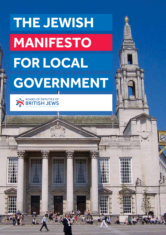# **the jewish manifesto for local GOVERNMENT**

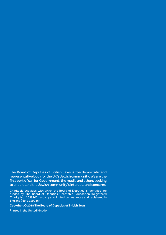The Board of Deputies of British Jews is the democratic and representative body for the UK's Jewish community. We are the first port of call for Government, the media and others seeking to understand the Jewish community's interests and concerns.

Charitable activities with which the Board of Deputies is identified are funded by The Board of Deputies Charitable Foundation (Registered Charity No. 1058107), a company limited by guarantee and registered in England (No. 3239086).

#### **copyright © 2018 the Board of Deputies of British jews**

Printed in the United Kingdom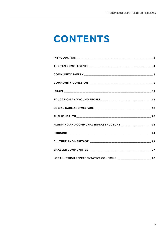1

# **contents**

| LOCAL JEWISH REPRESENTATIVE COUNCILS __________________________ 28 |  |
|--------------------------------------------------------------------|--|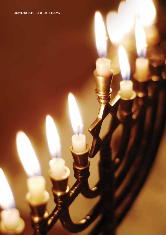#### The Board of depuTies of BriTish Jews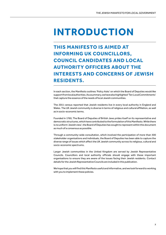## **IntRoDUctIon**

**tHIs MAnIFesto Is AIMeD At InFoRMInG UK coUncILLoRs, COUNCIL CANDIDATES AND LOCAL AUtHoRItY oFFIceRs ABoUt tHe InteRests AnD conceRns oF JeWIsH ResIDents.**

In each section, the Manifesto outlines 'Policy Asks' on which the Board of Deputies would like support from local authorities. As a summary, we have also highlighted 'Ten Local Commitments' that capture the essence of the needs of local Jewish communities.

The 2011 census reported that Jewish residents live in every local authority in England and Wales. The UK Jewish community is diverse in terms of religious and cultural affiliation, as well as in socio-economic terms.

Founded in 1760, The Board of Deputies of British Jews prides itself on its representative and democratic structures, which have contributed to the formulation of this Manifesto. while there is no uniform 'Jewish view', the Board of Deputies has sought to represent within this document as much of a consensus as possible.

Through a community-wide consultation, which involved the participation of more than 300 stakeholder organisations and individuals, the Board of Deputies has been able to capture the diverse range of issues which affect the UK Jewish community across its religious, cultural and socio-economic spectrums.

Larger Jewish communities in the United Kingdom are served by Jewish Representative Councils. Councillors and local authority officials should engage with these important organisations to ensure they are aware of the issues facing their Jewish residents. Contact details for the Jewish Representative Councils are included in this publication.

we hope that you will find this Manifesto useful and informative, and we look forward to working with you to implement these policies.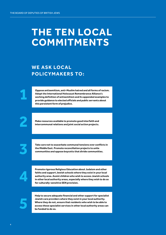## **tHe ten LocAL coMMItMents**

## **We AsK LocAL PoLIcYMAKeRs to:**

 **1**

**oppose antisemitism, anti-Muslim hatred and all forms of racism. Adopt the International Holocaust Remembrance Alliance's working definition of antisemitism and its appended examples to provide guidance to elected officials and public servants about this persistent form of prejudice.**

**Make resources available to promote good interfaith and intercommunal relations and joint social action projects.**

 **3**

 **2**

**take care not to exacerbate communal tensions over conflicts in the Middle east. Promote reconciliation projects to unite communities and oppose boycotts that divide communities.**

 **4**

**Promote rigorous Religious education about Judaism and other faiths and support Jewish schools where they exist in your local authority area. Assist children who wish to access Jewish schools in other local authority areas, especially where they wish to do so for culturally-sensitive sen provision.**

 **5**

**Help to secure adequate financial and other support for specialist Jewish care providers where they exist in your local authority. Where they do not, ensure that residents who wish to be able to access these specialist services in other local authority areas can be funded to do so.**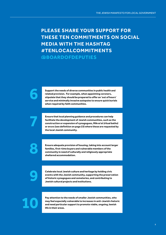## **PLeAse sHARe YoUR sUPPoRt FoR tHese ten coMMItMents on socIAL MeDIA WItH tHe HAsHtAG #tenLocALcoMMItMents**

**@BoARDoFDePUtIes**

 **6**

 **7**

**support the needs of diverse communities in public health and related provision. For example, when appointing coroners, stipulate that they should be prepared to offer an 'out of hours' service and minimally invasive autopsies to ensure quick burials when required by faith communities.**

**ensure that local planning guidance and procedures can help facilitate the development of Jewish communities, such as the construction or expansion of synagogues, Mikva'ot (ritual baths) or eruvs (see definition on page 23) where these are requested by the local Jewish community.**

 **8**

**ensure adequate provision of housing, taking into account larger families, first-time buyers and vulnerable members of the community in need of culturally and religiously appropriate sheltered accommodation.**

 **9**

**celebrate local Jewish culture and heritage by holding civic events with the Jewish community, supporting the preservation of historic synagogues and cemeteries, and contributing to Jewish cultural projects and institutions.**

**10**

**Pay attention to the needs of smaller Jewish communities, who may feel especially vulnerable to increases in anti-Jewish rhetoric and need particular support to promote viable, ongoing Jewish life in their areas.**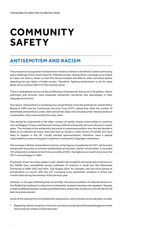## **coMMUnItY sAFetY**

### **AntIseMItIsM AnD RAcIsM**

The prevalence and spread of antisemitism remains a threat to the British Jewish community and a challenge to the moral character of British society. Antisemitism may begin as an attack on Jews, but history shows us that this hatred mutates and affects other minorities before attacking the very fabric of wider society. Therefore, fighting antisemitism is not for Jews alone, but a common effort for the common good.

There is widespread concern at the proliferation of antisemitic discourse in UK politics, where politicians and activists have employed antisemitic narratives and stereotypes in their language and actions.

The report, Antisemitism in Contemporary Great Britain, from the Institute for Jewish Policy Research (JPR) and the Community Security Trust (CST), stated that while the number of identifiable antisemites is small, when antisemitic ideas and concepts enter national and local conversation, they cause anxiety for many Jews.

This should be understood in the wider context of nearby Jewish communities in countries such as Belgium, France and Denmark having suffered antisemitic terrorist attacks in recent years. The increase in the antisemitic discourse in mainstream politics over the last decade is taken as an indicator by many Jews that such an attack or other forms of hostility are more likely to happen in the UK. Locally elected representatives, therefore, have a special responsibility to ensure they give no quarter to antisemitic language or behaviour.

The increase in British antisemitism is borne out by figures compiled by the CST, which works closely with the police to monitor antisemitism and protect Jewish communities. It recorded 767 antisemitic incidents in the first six months of 2017, the highest six-month total since the CST's records began in 1984.

Previously, there have been spikes in anti-Jewish hate incidents during periods of tensions in the Middle East, exemplified during outbreaks of violence in Israel and the Palestinian Territories in 2009, 2012 and 2014. July-August 2014, for example, was the worst period of antisemitism on record, with the CST recording more antisemitic incidents in those two months than during the entirety of the previous year.

However, in the years following that record high, the previous pattern of reduced tensions in the Middle East leading to a reduction in antisemitic incidents has been not repeated. Despite a relative détente between Israelis and Palestinians, antisemitic incidents in the UK did not fall back to previous levels.

Some of the clearest forms of antisemitic expressions, which should not be tolerated, include:

• Repeating 'Jewish conspiracy' theories, such as accusing Jews of manipulating government and society by media or financial power;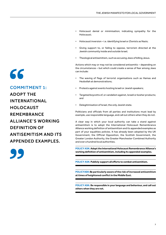- Holocaust denial or minimisation; indicating sympathy for the Holocaust;
- Holocaust inversion i.e. identifying Israel or Zionists as Nazis;
- Giving support to, or failing to oppose, terrorism directed at the Jewish community inside and outside Israel;
- Theological antisemitism, such as accusing Jews of killing Jesus.

Actions which may or may not be considered antisemitic - depending on the circumstances - but which could create a sense of fear among Jews can include:

- The waving of flags of terrorist organisations such as Hamas and Hezbollah at demonstrations;
- Protests against events hosting Israeli or Jewish speakers;
- Targeted boycotts of, or vandalism against, Israeli or kosher products; and
- Delegitimisation of Israel, the only Jewish state.

Politicians and officials from all parties and institutions must lead by example, use responsible language, and call out others when they do not.

A clear way in which your local authority can take a stand against antisemitism is to adopt the International Holocaust Remembrance Alliance working definition of antisemitism and its appended examples as part of your equalities policies. It has already been adopted by the UK Government, the Official Opposition, the Scottish Government, the Greater London Authority, the Greater Manchester Combined Authority and over a hundred local authorities.

**PoLIcY AsK: Adopt the International Holocaust Remembrance Alliance's working definition of antisemitism, including its appended examples.** 

**PoLIcY AsK: Publicly support all efforts to combat antisemitism.** 

**PoLIcY AsK: Be particularly aware of the risk of increased antisemitism**  at times of heightened conflict in the Middle East.

**PoLIcY AsK: Be responsible in your language and behaviour, and call out others when they are not.**

# 66

#### commitment 1:

ADoPt tHe inteRnAtionAL **HOLOCAUST REMEMBRANCE** ALLiAnce'S WoRKinG DeFinition oF AntiSemitiSm AnD itS APPenDeD eXAmPLeS.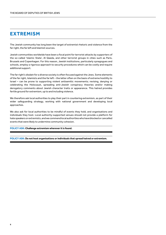#### **EXTREMISM**

The Jewish community has long been the target of extremist rhetoric and violence from the far right, the far left and Islamist sources.

Jewish communities worldwide have been a focal point for terrorist attacks by supporters of the so-called 'Islamic State', Al Qaeda, and other terrorist groups in cities such as Paris, Brussels and Copenhagen. For this reason, Jewish institutions, particularly synagogues and schools, employ a rigorous approach to security procedures which can be costly and require additional support.

The far right's disdain for a diverse society is often focused against the Jews. Some elements of the far right, Islamists and the far left – the latter often on the basis of extreme hostility to Israel – can be prone to supporting violent antisemitic movements; revising, denying or celebrating the Holocaust, spreading anti-Jewish conspiracy theories and/or making derogatory comments about Jewish character traits or appearance. This hatred provides fertile ground for extremism, up to and including violence.

We therefore ask local authorities to play their part in countering extremism, as part of their wider safeguarding strategy, working with national government and developing local approaches.

We also ask for local authorities to be mindful of events they hold, and organisations and individuals they host. Local authority-supported venues should not provide a platform for hate speakers or extremists, and we commend local authorities who have blocked or cancelled events that were likely to undermine community cohesion.

**PoLIcY AsK: challenge extremism wherever it is found.** 

**PoLIcY AsK: Do not host organisations or individuals that spread hatred or extremism.**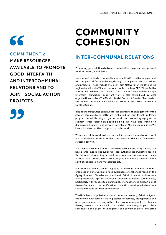# 66

#### commitment 2:

MAKE RESOURCES **AVAILABLE TO PROMOTE** GooD inteRFAitH AnD inteRcommUnAL ReLAtionS AnD to Joint SociAL Action PROJECTS.

95

## **coMMUnItY coHesIon**

### **InteR-coMMUnAL ReLAtIons**

Promoting good relations between communities can proactively prevent tension, racism, and violence.

Members of the Jewish community are committed to positive engagement with people of all faiths and none, through participation in organisations and projects. These include the Inter Faith Network for the UK and its regional and local affiliates, national bodies such as 3FF (Three Faiths Forum), Mitzvah Day, the Council of Christians and Jews and the Joseph Interfaith Foundation. Important work is also carried out by local organisations such as The Muslim Jewish Forum of Greater Manchester, Nottingham Inter Faith Council and Brighton and Hove Inter-Faith Contact Group.

 The Board of Deputies continues to lead on interfaith engagement for the Jewish community. In 2017 we embarked on our Invest In Peace programme, which brings together local churches and synagogues to support Israeli-Palestinian peace-building. We have also worked to deepen and broaden links between Jewish and Muslim communities. We look to local authorities to support us in this work.

While much of this work is driven by the faith groups themselves at a local and national level, local authorities have resources that could facilitate its strategic growth.

We know that small amounts of well-directed local authority funding can have a large impact. The support of local authorities is crucial to ensuring the future of intermediary, umbrella, and community organisations, such as local faith forums, which promote good community relations and a spirit of cooperation and mutual support.

For example, the Board of Deputies is working with human rights organisation René Cassin to raise awareness of challenges faced by the Gypsy, Roma and Traveller communities in Britain. Local authorities have an important role to play in addressing the concerns of these communities, particularly with respect to planning policy for authorised sites. A lack of these often leads to the proliferation of unauthorised sites, which can be a source of friction between communities.

The UK's Jewish population carries a communal memory of the immigrant experience, with families sharing stories of parents, grandparents and great grandparents arriving in the UK as economic migrants or refugees fleeing persecution. As such, the Jewish community is particularly sensitive to the plight of immigrants and asylum seekers, and often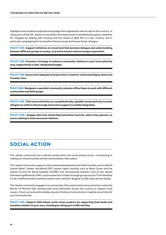highlights and condemns pejorative language that stigmatises new arrivals to this country. In many parts of the UK, Jewish communities have been active in establishing support networks for refugees by helping with housing and the needs of daily life in a new country, and in particular campaigning for local authorities to accept and house Syrian refugees.

**PoLIcY AsK: support initiatives at a local level that promote dialogue and understanding between different groups in society, to prevent tension and encourage cooperation.**

**PoLIcY AsK: Promote a strategy to enhance community relations in your local authority area, supported by a clear, designated budget.**

**POLICY ASK: Ensure that adequate local provision is made for authorised Gypsy, Roma and traveller sites.**

**PoLIcY AsK: Designate a specialist community cohesion officer/team to work with different communities and faith groups.**

**PoLIcY AsK: that local authorities act sympathetically, speedily and proactively to assist refugees to settle in the borough and receive support to enable integration.**

POLICY ASK: : Engage with local Jewish Representative Councils, where they operate, on **issues relating to intercommunal relations.**

#### **socIAL ActIon**

The Jewish community has a vibrant social action and social justice sector, contributing to making our shared society and the world a better, fairer place.

The Jewish community supports international development and relief charities such as World Jewish Relief, Tzedek, and World ORT; human rights charities such as René Cassin and the Jewish Council for Racial Equality (JCORE); and volunteering charities such as the Jewish Volunteering Network (JVN). Local social action is taken through groups such as The Friendship Circle in Salford and Bury and the Jewish Lads' and Girls' Brigade (JLGB) Leeds Action Squad.

The Jewish community engages in an annual day of focused communal social action under the banner of Mitzvah Day, working with local authorities across the country to support local causes. Check out www.mitzvahday.org.uk to find your local activity or register an activity for your local authority.

**PoLIcY AsK: support faith-based social action projects by supporting food banks and homeless shelters in your area, including by taking part in Mitzvah Day.**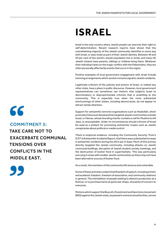# **IsRAeL**

Israel is the only country where Jewish people can exercise their right to self-determination. Recent research reports have shown that the overwhelming majority of the Jewish community identifies in some way with Israel, or sees Israel as part of their Jewish identity. Between 40 and 50 per cent of the world's Jewish population live in Israel, and many UK Jewish citizens have parents, siblings or children living there. Whatever their individual views on the tragic conflict with the Palestinians, they are often personally affected by events that occur in the region.

Positive examples of local government engagement with Israel include twinning arrangements which send an inclusive signal to Jewish residents.

Legitimate criticism of the policies and actions of Israel, or indeed any other state, have a place in public discourse. However, local government representatives can sometimes use rhetoric that subjects Israel to discriminatory or disproportionate criticism that is unsettling to the community. This is especially true when the more substantial shortcomings of other states, including democracies, do not appear to attract similar attention.

Support for antisemitic terrorist organisations such as Hezbollah, which promotes Holocaust denial and has targeted Jewish communities outside Israel, or Hamas, whose founding charter contains a call for Muslims to kill Jews, is unacceptable. Under no circumstances should criticism of Israel be used as a pretext for promoting antisemitic tropes such as Jewish conspiracies about political or media control.

There is empirical evidence, including the Community Security Trust's (CST's) Antisemitic Incidents Report, that there was a substantial increase in antisemitic incidents during the 2014 war in Gaza. Much of this activity directly targeted the Jewish community, including attacks on Jewish communal buildings, disruption of Jewish student society meetings, and the destruction of kosher food in supermarkets. This was particularly worrying in areas with smaller Jewish communities as there may not have been alternative sources of kosher food.

As a result, the members of the community felt anxious and vulnerable.

Some of these activities undermined freedom of speech, including artistic and academic freedom, freedom of association, and community relations in general. The intimidation of people wishing to attend a production at a festival, or to purchase items at particular shops, should be of concern to everyone.

Motions which support the Boycott, Divestment and Sanctions movement (BDS) against the Jewish state, as passed in some local authorities, serves

# 66

commitment 3:

tAKe cARe not to eXAceRBAte commUnAL tenSionS oVeR conFLictS in tHe miDDLe eASt.

71 S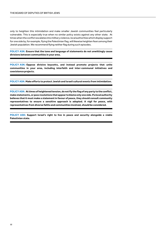only to heighten this intimidation and make smaller Jewish communities feel particularly vulnerable. This is especially true when no similar policy exists against any other state. At times when the conflict escalates into military violence, local authorities which display support for one side by, for example, flying the Palestinian flag, will likewise heighten fears among their Jewish population. We recommend flying neither flag during such episodes.

**PoLIcY AsK: ensure that the tone and language of statements do not unwittingly cause divisions between communities in your area.** 

**PoLIcY AsK: oppose divisive boycotts, and instead promote projects that unite communities in your area, including interfaith and inter-communal initiatives and coexistence projects.**

**PoLIcY AsK: Make efforts to protect Jewish and Israeli cultural events from intimidation.** 

**PoLIcY AsK: At times of heightened tension, do not fly the flag of any party to the conflict, make statements, or pass resolutions that appear to blame only one side. If a local authority believes that it must make a statement in favour of peace, they should consult community representatives to ensure a sensitive approach is adopted. A vigil for peace, with representatives from diverse faiths and communities involved, should be considered.**

**PoLIcY AsK: support Israel's right to live in peace and security alongside a viable Palestinian state.**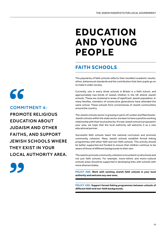## **eDUcAtIon AnD YoUnG PeoPLe**

## **FAItH scHooLs**

The popularity of faith schools reflects their excellent academic results, ethos, behavioural standards and the contribution that their pupils go on to make in wider society.

Currently, one in every three schools in Britain is a faith school, and approximately two-thirds of Jewish children in the UK attend Jewish schools. These are clustered in areas of significant Jewish population. In many families, members of consecutive generations have attended the same school. These schools form cornerstones of Jewish communities around the country.

The Jewish schools sector is growing in parts of London and Manchester. Jewish schools within the state sector are keen to have a positive working relationship with their local authority. If a new Jewish school is proposed in your area, we hope that the local authority will welcome it as a new educational partner.

Successful faith schools teach the national curriculum and promote community cohesion. Many Jewish schools establish formal linking programmes with other faith and non-faith schools. This activity should be better supported and funded to ensure that children continue to be aware of those of different backgrounds to their own.

The need to promote community cohesion is incumbent on all schools and not just faith schools. For example, mono-ethnic and mono-cultural schools areas should be supported in developing links with schools with more diverse intakes.

**PoLIcY AsK: Work with existing Jewish faith schools in your local authority and welcome any new ones.**

**PoLIcY AsK: support formal linking programmes between schools of different faith and non-faith backgrounds.**

# 66

commitment 4: PRomote ReLiGioUS eDUcAtion ABoUt JUDAiSm AnD otHeR FAitHS, AnD SUPPoRt JEWISH SCHOOLS WHERE tHeY eXiSt in YoUR LocAL AUtHoRitY AReA.

"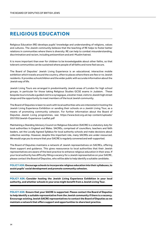### **ReLIGIoUs eDUcAtIon**

Religious Education (RE) develops pupils' knowledge and understanding of religions, values and cultures. The Jewish community believes that the teaching of RE helps to foster better relations in communities where there is diversity. RE can help to combat misunderstanding, discrimination and racism, including antisemitism and anti-Muslim hatred.

It is more important than ever for children to be knowledgeable about other faiths, so that tolerant communities can be sustained where people of all faiths and none feel secure.

The Board of Deputies' Jewish Living Experience is an educational, interactive mobile exhibition which travels around the country, often to places where there are few or no Jewish residents. It provides schoolchildren and the wider public with accurate information about the Jewish way of life.

Jewish Living Tours are arranged in predominantly Jewish areas of London for high school groups, in particular for those taking Religious Studies GCSE exams in Judaism. These bespoke tours include a guided visit to a synagogue, a kosher meal, visits to Jewish high street shops and the opportunity to meet members of the local Jewish community.

The Board of Deputies is keen to work with local authorities who are interested in hosting the Jewish Living Experience Exhibition or sending their schools on a Jewish Living Tour, as a means of promoting community cohesion. For further information about the Board of Deputies Jewish Living programmes, see: https://www.bod.org.uk/wp-content/uploads/ 2017/05/Jewish-Experience-Leaflet.pdf

Maintaining a Standing Advisory Council on Religious Education (SACRE) is a statutory duty for local authorities in England and Wales. SACREs, comprised of councillors, teachers and faith leaders, set the Locally Agreed Syllabus for local authority schools and make decisions about collective worship. However, despite this important role, many SACREs are under-resourced. We would urge you to ensure that your SACRE is regularly convened and well-supported.

The Board of Deputies maintains a network of Jewish representatives on SACREs, offering them support and guidance. This gives reassurance to local authorities that their Jewish representatives are aware of the best practice to enhance religious education in their area. If your local authority has difficulty filling a vacancy for a Jewish representative on your SACRE, please contact the Board of Deputies, who will be able to help identify a suitable candidate.

**PoLIcY AsK: encourage schools to incorporate religious education into their syllabuses, to assist pupils' social development and promote community cohesion.**

**PoLIcY AsK: consider hosting the Jewish Living experience exhibition in your local**  authority, and whether schools in your area might benefit from a Jewish Living Tour.

**POLICY ASK: Ensure that your SACRE is supported. Please contact the Board of Deputies to help identify a suitable representative from the Jewish community if there is a vacancy. encourage existing Jewish sAcRe representatives to contact the Board of Deputies as we maintain a network that offers support and opportunities to share best practice.**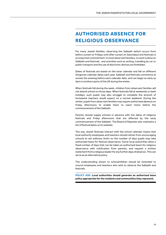### **AUtHoRIseD ABsence FoR ReLIGIoUs oBseRvAnce**

For many Jewish families, observing the Sabbath (which occurs from before sunset on Fridays until after sunset on Saturdays) and festivals is an important commitment. In most observant families, no work is done on Sabbath and festivals, and activities such as writing, travelling by car or public transport and the use of electronic devices are forbidden.

Dates of festivals are based on the lunar calendar and fall on different Gregorian calendar dates each year. Sabbath and festivals commence at sunset the evening before each calendar date, and can begin as early as 3pm in northern parts of the UK during the winter.

When festivals fall during the week, children from observant families will not attend school on those days. When festivals fall at weekends or bank holidays, such pupils may also struggle to complete the amount of homework teachers would expect on a normal weekend. During the winter, pupils from observant families may require authorised absence on Friday afternoons to enable them to reach home before the commencement of the Sabbath.

Parents should supply schools in advance with the dates of religious festivals and Friday afternoons that are affected by the early commencement of the Sabbath. The Board of Deputies also maintains a list of festival dates on its website.

The way Jewish festivals interact with the school calendar means that local authority employees and teachers should refrain from encouraging schools to set arbitrary limits on the number of days pupils may take authorised leave for festival observance. Some local authorities allow a fixed number of days that can be taken as authorised leave for religious observance with notification from parents, and request a written statement from a religious leader for any further days of absence. This can serve as an alternative policy.

The understanding shown to schoolchildren should be extended to council employees and teachers who wish to observe the Sabbath and festivals.

**PoLIcY AsK: Local authorities should generate an authorised leave policy appropriate for the residents and communities they represent.**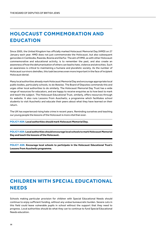## **HoLocAUst coMMeMoRAtIon AnD eDUcAtIon**

Since 2005, the United Kingdom has officially marked Holocaust Memorial Day (HMD) on 27 January each year. HMD does not just commemorate the Holocaust, but also subsequent genocides in Cambodia, Rwanda, Bosnia and Darfur. The aim of HMD, as with other Holocaust commemorative and educational activity, is to remember the past, and also create an awareness of how the dehumanisation of others can lead to hate, violence and atrocities. Such an awareness is critical to maintaining a humane and pluralistic society. As the number of Holocaust survivors dwindles, this task becomes even more important in the face of incipient Holocaust denial.

Many local authorities already mark Holocaust Memorial Day and encourage appropriate local public bodies, particularly schools, to do likewise. The Board of Deputies commends this and urges other local authorities to do similarly. The Holocaust Memorial Day Trust has a wide range of resources for educators, and are happy to receive enquiries as to how best to mark and teach the subject. The Holocaust Educational Trust, similarly, offers resources through its website. It also runs Lessons From Auschwitz, a programme which facilitates school students to visit Auschwitz and educate their peers about what they have learned on their return.

The UK has experienced rising hate crime in recent years. Reminding ourselves and teaching our young people the lessons of the Holocaust is more vital than ever.

#### **PoLIcY AsK: Local authorities should mark Holocaust Memorial Day.**

**PoLIcY AsK: Local authorities should encourage local schools to mark Holocaust Memorial Day and teach the lessons of the Holocaust.**

**PoLIcY AsK: encourage local schools to participate in the Holocaust educational trust's Lessons From Auschwitz programme.**

### **cHILDRen WItH sPecIAL eDUcAtIonAL neeDs**

Schools making particular provision for children with Special Educational Needs should continue to enjoy sufficient funding, without any undue bureaucratic burden. Severe cuts in this field could leave vulnerable pupils in school without the support that they need to progress. Local authorities should do what they can to continue to fund Special Educational Needs education.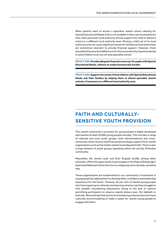When parents want to access a specialist Jewish school catering for Special Educational Needs that is not available in their own local authority area, their particular local authority should support the child to attend a school in a different local authority area. Moving a child out of its local authority area can cause significant issues for families as local authorities are sometimes reluctant to provide financial support. However, there should be little practical difference for the local authority if parents decide to send children to an out-of-area specialist school.

**PoLIcY AsK: Provide adequate financial resources for pupils with special educational needs, without an undue bureaucratic burden.**

**POLICY ASK: Support the needs of local children with Special Educational needs and their families by helping them to attend specialist Jewish schools, if necessary in a different local authority area.**

## **FAITH AND CULTURALLYsensItIve YoUtH PRovIsIon**

The Jewish community's provision for young people is highly developed and reaches at least 20,000 young people annually. This includes a range of national and local youth groups, both denominational and crosscommunal, which receive vital financial and strategic support from Jewish organisations such as the United Jewish Israel Appeal (UJIA). There is also a large network of youth groups operating within the strictly Orthodox community.

Meanwhile, the Jewish Lads' and Girls' Brigade (JLGB), among other activities, offers the opportunity to participate in the Duke of Edinburgh's Award and National Citizen Service in a religiously and culturally-sensitive way.

These organisations are fundamental to our community's investment in young people by helping them to develop skills, confidence and leadership experience for the future. However, 65 per cent of Jewish young people who have signed up to national volunteering schemes say they struggle to find suitable volunteering placements owing to the lack of options permitting participants to observe Jewish dietary laws, the Sabbath or festivals. We would ask that any local volunteering schemes become more culturally accommodating to make it easier for Jewish young people to engage with them.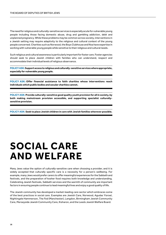The need for religious and culturally-sensitive services is especially acute for vulnerable young people including those facing domestic abuse, drug and gambling addiction, debt and unplanned pregnancy. While these problems may be common across society, interventions in a Jewish setting may require adaptivity to the religious and cultural context of the young people concerned. Charities such as Norwood, the Boys Clubhouse and Noa have expertise in working with vulnerable young people while sensitive to their religious and cultural needs.

Such religious and cultural awareness is particularly important for foster care. Foster agencies should seek to place Jewish children with families who can understand, respect and accommodate their individual levels of religious observance.

**PoLIcY AsK: support access to religious and culturally-sensitive services where appropriate, especially for vulnerable young people.**

**PoLIcY AsK: offer financial assistance to faith charities whose interventions reach individuals which public bodies and secular charities cannot.**

**PoLIcY AsK: Provide culturally-sensitive good quality youth provision for all in society, by both making mainstream provision accessible, and supporting specialist culturallysensitive provision.**

**PoLIcY AsK: seek to place Jewish children in care with Jewish families wherever possible.** 

## **socIAL cARe AnD WeLFARe**

Many Jews value the option of culturally-sensitive care when choosing a provider, and it is widely accepted that culturally specific care is a necessity for a person's wellbeing. For example, many Jews would prefer carers to offer meaningful experiences for the Sabbath and festivals, and the preparation of kosher food requires both knowledge and understanding. Celebrating Jewish festivals, Sabbath services and the warmth of community are important factors in ensuring people continue to lead meaningful lives and enjoy a good quality of life.

The Jewish community has developed a market-leading care sector which embraces some of the best practices in social care. Examples are Jewish Care, Norwood, Agudas Yisroel, Nightingale Hammerson, The Fed (Manchester), Langdon, Birmingham Jewish Community Care, Merseyside Jewish Community Care, Kisharon, and the Leeds Jewish Welfare Board.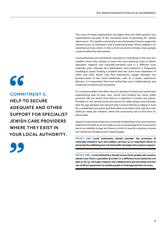The costs of these organisations are higher than non-faith specific care organisations because of the increased costs of providing for Jewish observance. The Jewish community is very fortunate to have a supporter infrastructure of volunteers and a fundraising base which enables it to subsidise services which, in the current economic climate, many people could not afford for themselves.

Local authorities are sometimes reluctant to contribute to the care of a resident when they choose to leave the local authority area to obtain specialist, religious and culturally-sensitive care in a different local authority area. Likewise the 'destination' local authority is frequently unwilling to assist funding a resident who has come from elsewhere. A client and their family may find themselves caught between the bureaucracies of two local authorities, and, as a result, experience distress. It is important that local authorities work collaboratively and creatively to resolve such situations.

It is understandable that after almost a decade of many local authorities experiencing year-on-year cuts, social care funding has come under pressure. We are aware that there is a reduction in social care places. Providers in the Jewish social care sector for older people now estimate that the gap between the amount that a local authority is willing to fund for a residential care place and that which a provider must spend is now £400 per week per resident, which the community has to find from its donor base.

Jewish social care providers are currently fundraising in the community to meet this shortfall, to ensure that no one is turned away from a care home due to an inability to pay, but there is a limit to how far voluntary income can continue to bridge an ever-widening gap.

**PoLIcY AsK: Local authorities should consider the provision of culturally-sensitive care and welfare services as an important factor in ensuring the wellbeing and mental health of people who require support.**

**PoLIcY AsK: Local authorities should ensure that people who need to obtain care from a specialist provider in a different local authority are able to do so, through creative and collaborative partnerships and the use of direct payments to enable people to find appropriate services.**

# 66

commitment 5:

HeLP to SecURe ADeQUAte AnD otHeR SUPPoRt FoR SPeciALiSt JeWiSH cARe PRoViDeRS WHERE THEY EXIST IN YOUR LOCAL AUTHORITY.

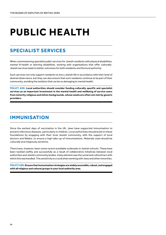# **PUBLIc HeALtH**

### **sPecIALIst seRvIces**

When commissioning specialist public services for Jewish residents with physical disabilities, mental ill-health or learning disabilities, working with organisations that offer culturally-Jewish services leads to better outcomes for both residents and the local authority.

Such services not only support residents to live a Jewish life in accordance with their level of desired observance, but they can also ensure that such residents continue to be part of their community, avoiding the isolation that can be so damaging to mental health.

**PoLIcY AsK: Local authorities should consider funding culturally specific and specialist services as an important investment in the mental health and wellbeing of service users from minority religious and ethnic backgrounds, whose needs are often not met by generic providers.**

### **IMMUnIsAtIon**

Since the earliest days of vaccination in the UK, Jews have supported immunisation to prevent infectious diseases, particularly in children. Local authorities should build on these foundations by engaging with their local Jewish community, with the support of local doctors and Rabbis, to ensure a high take-up of immunisations. Materials used should be culturally and religiously sensitive.

There have, however, been some recent avoidable outbreaks in Jewish schools. These have been tackled swiftly and successfully as a result of collaborative initiatives between local authorities and Jewish community bodies. A key element was the social and cultural tact with which this was handled. This sensitivity is crucial when working with Jews and other minorities.

**PoLIcY AsK: ensure that immunisation strategies are widely accessible, robust, and engaged with all religious and cultural groups in your local authority area.**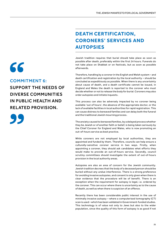## **DeAtH ceRtIFIcAtIon, coRoneRs' seRvIces AnD AUtoPsIes**

Jewish tradition requires that burial should take place as soon as possible after death, preferably within the first 24 hours. Funerals do not take place on Shabbat or on festivals, but as soon as possible afterwards.

Therefore, handling by a coroner in the English and Welsh system - and death certification and registration by the local authority - should be concluded as expeditiously as possible. When there is any uncertainty about cause of death, and a death certificate cannot be issued, in England and Wales the death is reported to the coroner who must decide whether or not to release the body for burial. Coroners may also order autopsies and initiate inquests.

This process can also be adversely impacted by no coroner being available 'out of hours', the absence of the appropriate doctor, or the lack of available facilities in local authorities for rapid registration. This can cause distress to bereaved families and can delay both the funeral and the traditional Jewish mourning process.

The anxiety caused to bereaved families, by a delayed process whether they be Jewish or of another faith or belief, is being taken seriously by the Chief Coroner for England and Wales, who is now promoting an out-of-hours service as best practice.

While coroners are not employed by local authorities, they are appointed and funded by them. Therefore, councils can help ensure a culturally-sensitive coroner service in two ways. Firstly, when appointing a coroner, they should ask candidates what efforts they would make to provide an out-of-hours service. Secondly, council scrutiny committees should investigate the extent of out-of-hours provision in the local authority areas.

Autopsies are also an area of concern for the Jewish community. Jewish tradition decrees that the body of a deceased person should be buried without any undue interference. There is a strong preference for avoiding invasive autopsies, and consent is only given when there is clear evidence that the procedure will be of benefit. There is an exception when the requirement for autopsy is legal, i.e. ordered by the coroner. This can occur where there is uncertainty as to the cause of death, as well as when there is suspicion of an offence.

Recently there has been considerable public interest in the use of minimally invasive autopsy  $-$  where a computerised tomography (CT) scan is used - which has been validated in Government-funded studies. This technology is of value not only to Jews but also to the wider population, since the quality of this form of autopsy is as good if not

# 66

#### commitment 6:

SUPPORT THE NEEDS OF DiVeRSe commUnitieS in PUBLic HeALtH AnD ReLAteD PRoViSion.

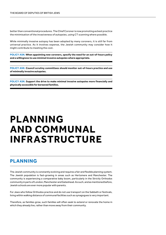better than conventional procedures. The Chief Coroner is now promoting as best practice the minimisation of the invasiveness of autopsies, using CT scanning where possible.

While minimally invasive autopsy has been adopted by many coroners, it is still far from universal practice. As it involves expense, the Jewish community may consider how it might contribute to meeting the cost.

**PoLIcY AsK: When appointing new coroners, specify the need for an out-of-hours policy and a willingness to use minimal invasive autopsies where appropriate.**

**PoLIcY AsK: council scrutiny committees should monitor out-of-hours practice and use of minimally invasive autopsies.**

**PoLIcY AsK: support the drive to make minimal invasive autopsies more financially and physically accessible for bereaved families.**

## **PLAnnInG AnD coMMUnAL InFRAstRUctURe**

#### **PLAnnInG**

The Jewish community is constantly evolving and requires a fair and flexible planning system. The Jewish population is fast-growing in areas such as Hertsmere and Manchester. The community is experiencing a comparative baby boom, particularly in the Strictly Orthodox community in parts of London, Manchester and Gateshead. As such, and as mentioned before, Jewish schools are ever more popular with parents.

For Jews who follow Orthodox practice and do not use transport on the Sabbath or festivals, living within walking distance of communal facilities such as synagogues is very important.

Therefore, as families grow, such families will often seek to extend or renovate the home in which they already live, rather than move away from their community.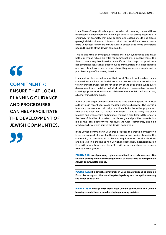Local Plans often positively support residents in creating the conditions for sustainable development. Planning in general has an important role in ensuring, for example, that new building and extensions do not create geological risks. However, it is also critical that Local Plans do not create extra unnecessary barriers or bureaucratic obstacles to home extensions needed by parts of the Jewish community.

This is also true of synagogue extensions, new synagogues and ritual baths (mikva'ot) which are vital for communal life. In recent years, the Jewish community has breathed new life into buildings that previously had different uses, such as public houses or industrial units. These spaces are now vibrant community hubs, where they were once empty and in possible danger of becoming derelict.

Local authorities should ensure that Local Plans do not obstruct such conversions and help the Jewish community make this vital contribution to enlivening the wider area for the benefit of the population. While every development must be taken on its individual merit, we would recommend creating a 'presumption in favour' of development for faith infrastructure, all other things being equal.

Some of the larger Jewish communities have been engaged with local authorities in recent years over the issue of Eruvs (Eruvim). The Eruv is a boundary demarcation, virtually unnoticeable to the wider population, that allows observant Orthodox and Masorti Jews to carry and push buggies and wheelchairs on Shabbat, making a significant difference to the lives of families. A constructive, thorough and positive consultation led by the local authority will reassure the wider community and help produce an Eruv which serves the Jewish population.

If the Jewish community in your area proposes the erection of their own Eruv, the support of a local authority is crucial and not just to guide the community in complying with planning requirements. Local authorities are also vital in signalling to non-Jewish residents how inconspicuous an Eruv will be and how much benefit it will be to their observant Jewish friends and neighbours.

**PoLIcY AsK: Local planning regimes should not be overly bureaucratic, to allow the expansion of existing homes, as well as the building of new Jewish communal facilities.**

**PoLIcY AsK: If a Jewish community in your area proposes to build an eruv, please support them and help to dispel any misconceptions among the wider population.**

**PoLIcY AsK: engage with your local Jewish community and Jewish housing associations when developing planning policies.**

# 66

#### commitment 7:

**ENSURE THAT LOCAL** PLAnninG GUiDAnce AnD PRoceDUReS cAn HeLP FAciLitAte tHe DeVeLoPment oF JeWiSH commUntieS.

95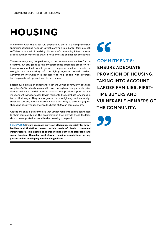# **HoUsInG**

In common with the wider UK population, there is a comprehensive spectrum of housing needs in Jewish communities. Larger families seek sufficient space within walking distance of community infrastructure, especially when motorised travel is not permitted on Shabbat or festivals.

There are also young people looking to become owner-occupiers for the first time, but struggling to find any appropriate affordable property. For those who cannot yet hope to get on to the property ladder, there is the struggle and uncertainty of the lightly-regulated rental market. Government intervention is necessary to help people with different housing needs to improve their circumstances.

Social housing plays an important role in the Jewish community, both as a supplier of affordable homes and in overcoming isolation, particularly for elderly residents. Jewish housing associations provide supported and independent living for older Jewish residents that combats loneliness in two critical ways: They are organised in a religiously and culturallysensitive context, and are located in close proximity to the synagogues, shops and social venues that are the heart of Jewish communal life.

Allocations should be granted so that Jewish residents can be connected to their community and the organisations that provide these facilities should be supported, especially when seeking to expand.

**POLICY ASK: Ensure adequate provision of housing, especially for larger families and first-time buyers, within reach of Jewish communal infrastructure. this should of course include sufficient affordable and social housing. consider local Jewish housing associations as key partners when developing your housing policies.**

66

commitment 8: enSURe ADeQUAte PRoViSion oF HoUSinG, tAKinG into AccoUnt LARGeR FAmiLieS, FiRSttime BUYeRS AnD VULneRABLe memBeRS oF THE COMMUNITY.

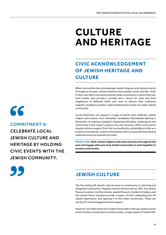## **cULtURe AnD HeRItAGe**

## **cIvIc AcKnoWLeDGeMent oF JeWIsH HeRItAGe AnD cULtURe**

When local authorities acknowledge Jewish religious and cultural events throughout the year, Jewish residents feel a greater sense of pride – both in their own faith community and the wider community in which they live. Such events also provide a prompt and a forum for Jews and their neighbours of different faiths and none to discuss their traditions together, leading to greater understanding and a sense of a wider shared community.

Local authorities can support a range of events that celebrate Jewish religion and culture, from Hanukkah candelabra (Hanukkiah) lighting in December, to hosting a Sukkah in September/October, meetings for the community in the mayor's parlour and civic services. Often such events require minimal support from the local authority, potentially as little as a location and publicity. Jewish communities will try to provide financial and material resources towards the event.

**PoLIcY AsK: Mark Jewish religious and cultural events throughout the year and engage with your local Jewish community to work together to produce such events.**

## **JeWIsH cULtURe**

The flourishing UK Jewish cultural scene is a testimony to a thriving and integrated community. Flagship cultural centres such as JW3, the Jewish Museum London, the Manchester Jewish Museum, the Ben Uri Gallery and the Jewish Music Institute provide a means of both celebrating the UK Jewish experience, and opening it to the wider community. These are worthy of council engagement and support.

However, too often there are incidents that seek to disrupt Jewish events which involve a connection to Israeli society, a major aspect of Jewish life.

# 66

commitment 9: ceLeBRAte LocAL JeWiSH cULtURe AnD HeRitAGe BY HoLDinG ciVic eVentS WitH tHe JeWiSH commUnitY.

**JS**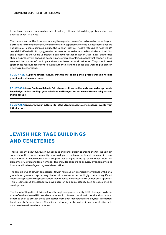In particular, we are concerned about cultural boycotts and intimidatory protests which are directed at Jewish events.

The rhetoric and motivations surrounding these protests are often extremely concerning and distressing for members of the Jewish community, especially when the events themselves are not political. Recent examples include the London Tricycle Theatre refusing to host the UK Jewish Film Festival in 2014, aggressive protests at the Wales vs Israel football match in 2015, and protests at the Celtic vs Hapoel Beersheva football match in 2016. Local authorities should be proactive in opposing boycotts of Jewish and/or Israeli events that happen in their area and be mindful of the impact these can have on local residents. They should seek appropriate reassurances from relevant authorities and the police and work to put plans in place to reduce tensions.

**POLICY ASK: Support Jewish cultural institutions, raising their profile through holding prominent civic events there.**

**PoLIcY AsK: Make funds available to faith-based cultural bodies and events which promote knowledge, understanding, good relations and integration between different religious and ethnic groups.**

**PoLIcY AsK: support Jewish cultural life in the UK and protect Jewish cultural events from intimidation.** 

## **JeWIsH HeRItAGe BUILDInGs AnD ceMeteRIes**

There are many beautiful Jewish synagogues and other buildings around the UK, including in areas where the Jewish community has now depleted and may not be able to maintain them. Local authorities should look at what support they can give to the upkeep of these important elements of Jewish and local heritage. This includes supporting security arrangements and local education to safeguard against desecration.

The same is true of Jewish cemeteries. Jewish religious law prohibits interference with burial grounds or graves except in very limited circumstances. Accordingly, there is significant importance placed on the preservation, maintenance and protection of Jewish burial grounds. This is sometimes threatened by developers or geological issues, such as subsidence or development.

The Board of Deputies of British Jews, through designated-charity BOD Heritage, holds the titles of twelve disused UK Jewish cemeteries. In this role, it works with local authorities and others to seek to protect these cemeteries from both desecration and physical dereliction. Local Jewish Representative Councils are also key stakeholders in communal efforts to maintain disused Jewish cemeteries.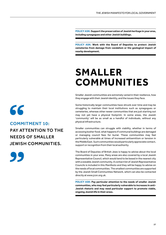**PoLIcY AsK: support the preservation of Jewish heritage in your area, including synagogues and other Jewish buildings.**

**PoLIcY AsK: Work with the Board of Deputies to protect Jewish cemeteries from damage from vandalism or the geological impact of nearby development.**

## **sMALLeR coMMUnItIes**

Smaller Jewish communities are extremely varied in their resilience, how they engage with their Jewish identity, and the issues they face.

Some historically larger communities have shrunk over time and may be struggling to maintain their local institutions such as synagogues or cemeteries, whereas other newer communities that are just starting out may not yet have a physical footprint. In some areas, the Jewish 'community' will be as small as a handful of individuals, without any physical infrastructure.

Smaller communities can struggle with viability, whether in terms of accessing kosher food, what happens if communal buildings are damaged or managing council fees for burial. These communities may feel particularly vulnerable at times of increased antisemitism or tension in the Middle East. Such communities would particularly appreciate contact, support or recognition from their local authority.

The Board of Deputies of British Jews is happy to advise about the local communities in your area. Many areas are also covered by a local Jewish Representative Council, which would tend to be based in the nearest city with a sizeable Jewish community. A contact list of Jewish Representative Councils is included in this Manifesto and they will be happy to advise on the needs of local communities. The smallest communities are supported by the Jewish Small Communities Network, which can also be contacted directly at www.jcsn.org.uk.

**PoLIcY AsK: Pay particular attention to the needs of smaller Jewish communities, who may feel particularly vulnerable to increases in anti-Jewish rhetoric and may need particular support to promote viable, ongoing Jewish life in their areas.**

# 66

commitment 10: PAY ATTENTION TO THE neeDS oF SmALLeR JeWiSH commUnitieS.

55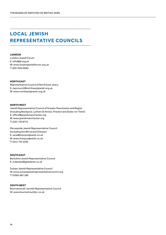## **LocAL JeWIsH RePResentAtIve coUncILs**

#### **LonDon**

London Jewish Forum E: info@ljf.org.uk W: www.londonjewishforum.org.uk T: 020 7042 8684

#### **noRtH eAst**

Representative Council of North East Jewry E: repcouncil@northeastjewish.org.uk W: www.northeastjewish.org.uk

#### **noRtH West**

Jewish Representative Council of Greater Manchester and Region (including Blackpool, Lytham St Annes, Preston and Stoke-on-Trent) E: office@jewishmanchester.org W: www.jewishmanchester.org T: 0161 720 8721

Merseyside Jewish Representative Council (including the Wirral and Chester) E: sara@liverpooljewish.co.uk W: www.liverpooljewish.co.uk T: 0151 733 2292

#### **soUtH eAst**

Berkshire Jewish Representative Council E: mdaniels@globalnet.co.uk

Sussex Jewish Representative Council W: www.sussexjewishrepresentativecouncil.org T: 07881 887 589

#### **soUtH West**

Bournemouth Jerwish Representative Council W: www.bournemouthjrc.co.uk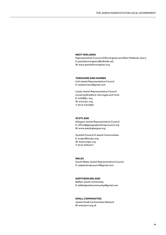#### **west miDlanDs**

Representative Council of Birmingham and West Midlands Jewry E: jewishbirmingham@talktalk.net W: www.jewishbirmingham.org

#### **Yorkshire anD humBer**

Hull Jewish Representative Council E: westermans@gmail.com

Leeds Jewish Representative Council (covering Bradford, Harrogate and York) E: info@ljrc.org W: www.ljrc.org T: 0113 218 5869

#### **scotlanD**

Glasgow Jewish Representative Council E: office@glasgowjewishrepcouncil.org W: www.jewishglasgow.org

Scottish Council of Jewish Communities E: scojec@socjec.org W: www.scojec.org T: 0141 638 6411

#### **wales**

South Wales Jewish Representative Council E: swjewishrepcouncil@gmail.com

#### **northern irelanD**

Belfast Jewish community E: belfastjewishcommunity@gmail.com

#### **small communities**

Jewish Small Communities Network W: www.jscn.org.uk